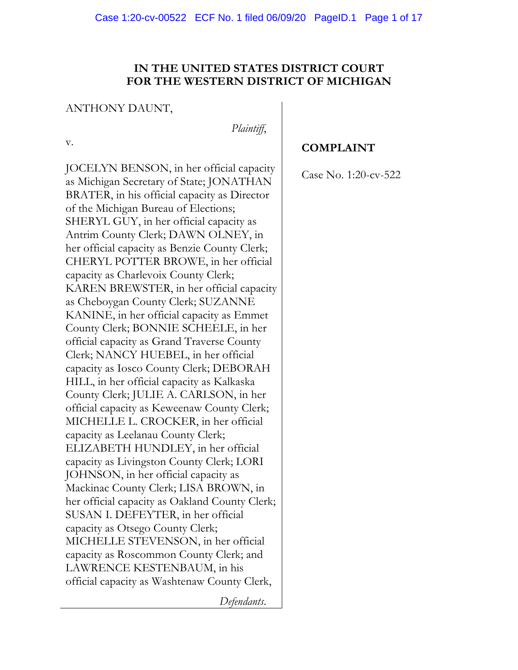# **IN THE UNITED STATES DISTRICT COURT FOR THE WESTERN DISTRICT OF MICHIGAN**

## ANTHONY DAUNT,

*Plaintiff*,

v.

JOCELYN BENSON, in her official capacity as Michigan Secretary of State; JONATHAN BRATER, in his official capacity as Director of the Michigan Bureau of Elections; SHERYL GUY, in her official capacity as Antrim County Clerk; DAWN OLNEY, in her official capacity as Benzie County Clerk; CHERYL POTTER BROWE, in her official capacity as Charlevoix County Clerk; KAREN BREWSTER, in her official capacity as Cheboygan County Clerk; SUZANNE KANINE, in her official capacity as Emmet County Clerk; BONNIE SCHEELE, in her official capacity as Grand Traverse County Clerk; NANCY HUEBEL, in her official capacity as Iosco County Clerk; DEBORAH HILL, in her official capacity as Kalkaska County Clerk; JULIE A. CARLSON, in her official capacity as Keweenaw County Clerk; MICHELLE L. CROCKER, in her official capacity as Leelanau County Clerk; ELIZABETH HUNDLEY, in her official capacity as Livingston County Clerk; LORI JOHNSON, in her official capacity as Mackinac County Clerk; LISA BROWN, in her official capacity as Oakland County Clerk; SUSAN I. DEFEYTER, in her official capacity as Otsego County Clerk; MICHELLE STEVENSON, in her official capacity as Roscommon County Clerk; and LAWRENCE KESTENBAUM, in his official capacity as Washtenaw County Clerk,

**COMPLAINT**

Case No. 1:20-cv-522

*Defendants*.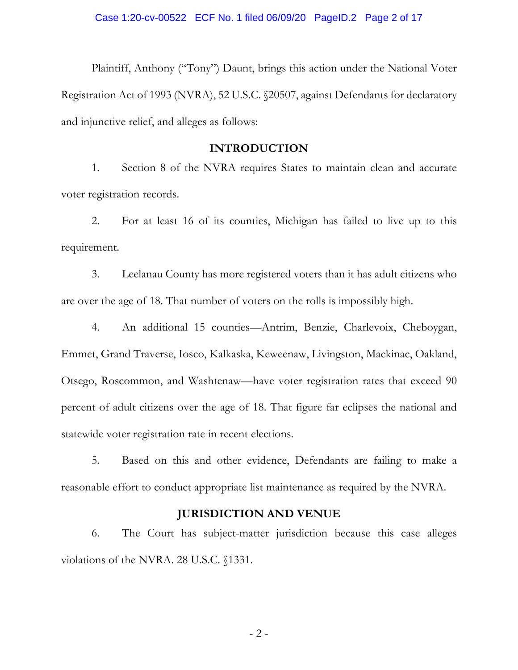Plaintiff, Anthony ("Tony") Daunt, brings this action under the National Voter Registration Act of 1993 (NVRA), 52 U.S.C. §20507, against Defendants for declaratory and injunctive relief, and alleges as follows:

### **INTRODUCTION**

1. Section 8 of the NVRA requires States to maintain clean and accurate voter registration records.

2. For at least 16 of its counties, Michigan has failed to live up to this requirement.

3. Leelanau County has more registered voters than it has adult citizens who are over the age of 18. That number of voters on the rolls is impossibly high.

4. An additional 15 counties—Antrim, Benzie, Charlevoix, Cheboygan, Emmet, Grand Traverse, Iosco, Kalkaska, Keweenaw, Livingston, Mackinac, Oakland, Otsego, Roscommon, and Washtenaw—have voter registration rates that exceed 90 percent of adult citizens over the age of 18. That figure far eclipses the national and statewide voter registration rate in recent elections.

5. Based on this and other evidence, Defendants are failing to make a reasonable effort to conduct appropriate list maintenance as required by the NVRA.

### **JURISDICTION AND VENUE**

6. The Court has subject-matter jurisdiction because this case alleges violations of the NVRA. 28 U.S.C. §1331.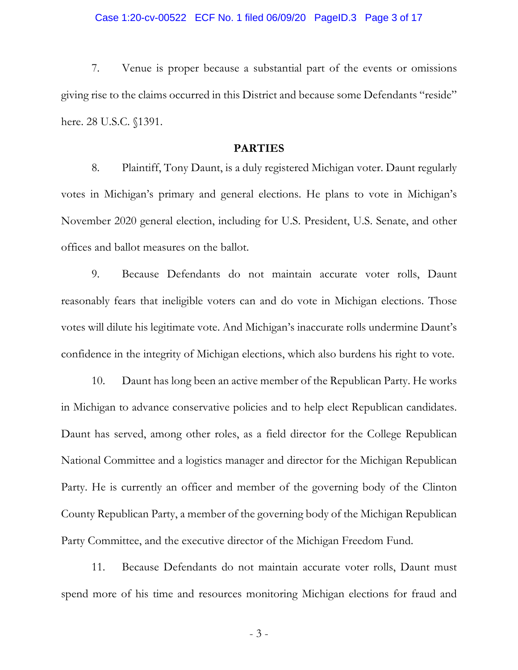7. Venue is proper because a substantial part of the events or omissions giving rise to the claims occurred in this District and because some Defendants "reside" here. 28 U.S.C. §1391.

#### **PARTIES**

8. Plaintiff, Tony Daunt, is a duly registered Michigan voter. Daunt regularly votes in Michigan's primary and general elections. He plans to vote in Michigan's November 2020 general election, including for U.S. President, U.S. Senate, and other offices and ballot measures on the ballot.

9. Because Defendants do not maintain accurate voter rolls, Daunt reasonably fears that ineligible voters can and do vote in Michigan elections. Those votes will dilute his legitimate vote. And Michigan's inaccurate rolls undermine Daunt's confidence in the integrity of Michigan elections, which also burdens his right to vote.

10. Daunt has long been an active member of the Republican Party. He works in Michigan to advance conservative policies and to help elect Republican candidates. Daunt has served, among other roles, as a field director for the College Republican National Committee and a logistics manager and director for the Michigan Republican Party. He is currently an officer and member of the governing body of the Clinton County Republican Party, a member of the governing body of the Michigan Republican Party Committee, and the executive director of the Michigan Freedom Fund.

11. Because Defendants do not maintain accurate voter rolls, Daunt must spend more of his time and resources monitoring Michigan elections for fraud and

- 3 -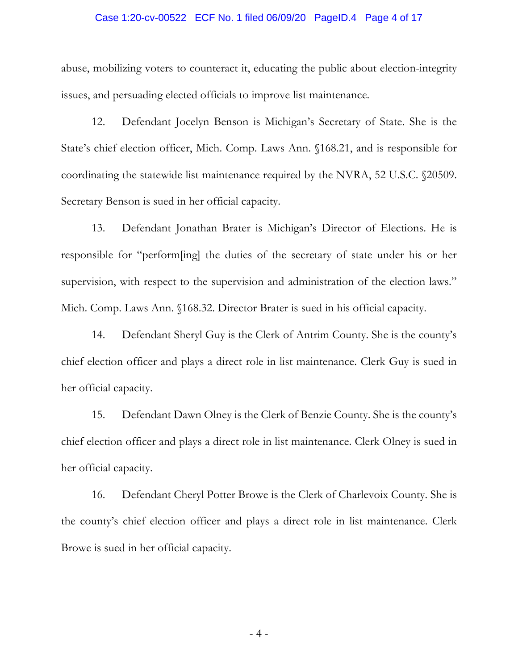#### Case 1:20-cv-00522 ECF No. 1 filed 06/09/20 PageID.4 Page 4 of 17

abuse, mobilizing voters to counteract it, educating the public about election-integrity issues, and persuading elected officials to improve list maintenance.

12. Defendant Jocelyn Benson is Michigan's Secretary of State. She is the State's chief election officer, Mich. Comp. Laws Ann. §168.21, and is responsible for coordinating the statewide list maintenance required by the NVRA, 52 U.S.C. §20509. Secretary Benson is sued in her official capacity.

13. Defendant Jonathan Brater is Michigan's Director of Elections. He is responsible for "perform[ing] the duties of the secretary of state under his or her supervision, with respect to the supervision and administration of the election laws." Mich. Comp. Laws Ann. §168.32. Director Brater is sued in his official capacity.

14. Defendant Sheryl Guy is the Clerk of Antrim County. She is the county's chief election officer and plays a direct role in list maintenance. Clerk Guy is sued in her official capacity.

15. Defendant Dawn Olney is the Clerk of Benzie County. She is the county's chief election officer and plays a direct role in list maintenance. Clerk Olney is sued in her official capacity.

16. Defendant Cheryl Potter Browe is the Clerk of Charlevoix County. She is the county's chief election officer and plays a direct role in list maintenance. Clerk Browe is sued in her official capacity.

- 4 -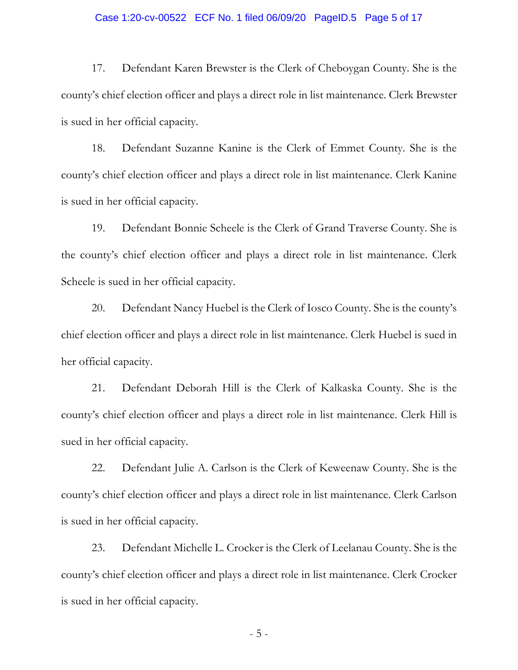#### Case 1:20-cv-00522 ECF No. 1 filed 06/09/20 PageID.5 Page 5 of 17

17. Defendant Karen Brewster is the Clerk of Cheboygan County. She is the county's chief election officer and plays a direct role in list maintenance. Clerk Brewster is sued in her official capacity.

18. Defendant Suzanne Kanine is the Clerk of Emmet County. She is the county's chief election officer and plays a direct role in list maintenance. Clerk Kanine is sued in her official capacity.

19. Defendant Bonnie Scheele is the Clerk of Grand Traverse County. She is the county's chief election officer and plays a direct role in list maintenance. Clerk Scheele is sued in her official capacity.

20. Defendant Nancy Huebel is the Clerk of Iosco County. She is the county's chief election officer and plays a direct role in list maintenance. Clerk Huebel is sued in her official capacity.

21. Defendant Deborah Hill is the Clerk of Kalkaska County. She is the county's chief election officer and plays a direct role in list maintenance. Clerk Hill is sued in her official capacity.

22. Defendant Julie A. Carlson is the Clerk of Keweenaw County. She is the county's chief election officer and plays a direct role in list maintenance. Clerk Carlson is sued in her official capacity.

23. Defendant Michelle L. Crocker is the Clerk of Leelanau County. She is the county's chief election officer and plays a direct role in list maintenance. Clerk Crocker is sued in her official capacity.

- 5 -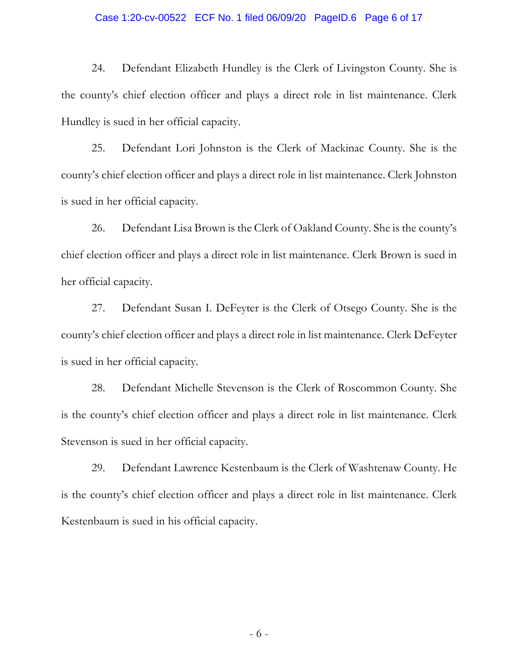#### Case 1:20-cv-00522 ECF No. 1 filed 06/09/20 PageID.6 Page 6 of 17

24. Defendant Elizabeth Hundley is the Clerk of Livingston County. She is the county's chief election officer and plays a direct role in list maintenance. Clerk Hundley is sued in her official capacity.

25. Defendant Lori Johnston is the Clerk of Mackinac County. She is the county's chief election officer and plays a direct role in list maintenance. Clerk Johnston is sued in her official capacity.

26. Defendant Lisa Brown is the Clerk of Oakland County. She is the county's chief election officer and plays a direct role in list maintenance. Clerk Brown is sued in her official capacity.

27. Defendant Susan I. DeFeyter is the Clerk of Otsego County. She is the county's chief election officer and plays a direct role in list maintenance. Clerk DeFeyter is sued in her official capacity.

28. Defendant Michelle Stevenson is the Clerk of Roscommon County. She is the county's chief election officer and plays a direct role in list maintenance. Clerk Stevenson is sued in her official capacity.

29. Defendant Lawrence Kestenbaum is the Clerk of Washtenaw County. He is the county's chief election officer and plays a direct role in list maintenance. Clerk Kestenbaum is sued in his official capacity.

- 6 -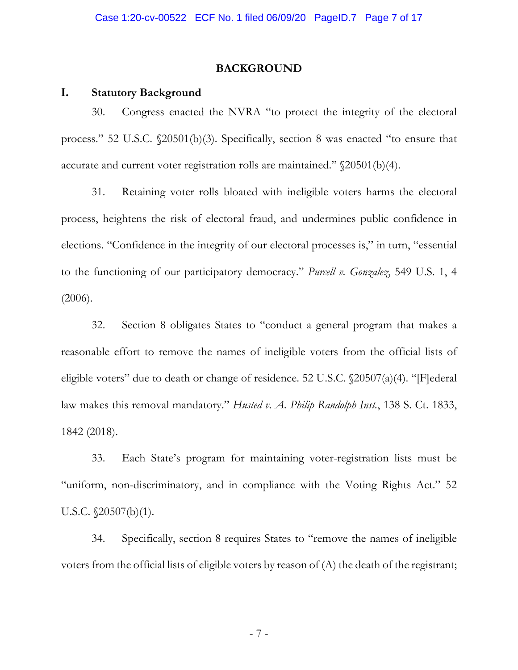### **BACKGROUND**

### **I. Statutory Background**

30. Congress enacted the NVRA "to protect the integrity of the electoral process." 52 U.S.C. §20501(b)(3). Specifically, section 8 was enacted "to ensure that accurate and current voter registration rolls are maintained." §20501(b)(4).

31. Retaining voter rolls bloated with ineligible voters harms the electoral process, heightens the risk of electoral fraud, and undermines public confidence in elections. "Confidence in the integrity of our electoral processes is," in turn, "essential to the functioning of our participatory democracy." *Purcell v. Gonzalez*, 549 U.S. 1, 4 (2006).

32. Section 8 obligates States to "conduct a general program that makes a reasonable effort to remove the names of ineligible voters from the official lists of eligible voters" due to death or change of residence. 52 U.S.C. §20507(a)(4). "[F]ederal law makes this removal mandatory." *Husted v. A. Philip Randolph Inst.*, 138 S. Ct. 1833, 1842 (2018).

33. Each State's program for maintaining voter-registration lists must be "uniform, non-discriminatory, and in compliance with the Voting Rights Act." 52 U.S.C. §20507(b)(1).

34. Specifically, section 8 requires States to "remove the names of ineligible voters from the official lists of eligible voters by reason of (A) the death of the registrant;

- 7 -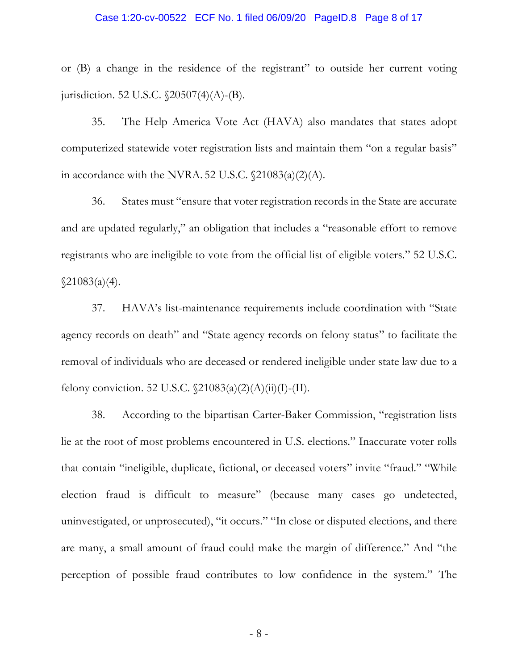#### Case 1:20-cv-00522 ECF No. 1 filed 06/09/20 PageID.8 Page 8 of 17

or (B) a change in the residence of the registrant" to outside her current voting jurisdiction. 52 U.S.C. §20507(4)(A)-(B).

35. The Help America Vote Act (HAVA) also mandates that states adopt computerized statewide voter registration lists and maintain them "on a regular basis" in accordance with the NVRA. 52 U.S.C.  $\[21083(a)(2)(A)\]$ .

36. States must "ensure that voter registration records in the State are accurate and are updated regularly," an obligation that includes a "reasonable effort to remove registrants who are ineligible to vote from the official list of eligible voters." 52 U.S.C.  $\sqrt{21083(a)(4)}$ .

37. HAVA's list-maintenance requirements include coordination with "State agency records on death" and "State agency records on felony status" to facilitate the removal of individuals who are deceased or rendered ineligible under state law due to a felony conviction. 52 U.S.C.  $\[21083(a)(2)(A)(ii)(I) - (II)\]$ .

38. According to the bipartisan Carter-Baker Commission, "registration lists lie at the root of most problems encountered in U.S. elections." Inaccurate voter rolls that contain "ineligible, duplicate, fictional, or deceased voters" invite "fraud." "While election fraud is difficult to measure" (because many cases go undetected, uninvestigated, or unprosecuted), "it occurs." "In close or disputed elections, and there are many, a small amount of fraud could make the margin of difference." And "the perception of possible fraud contributes to low confidence in the system." The

- 8 -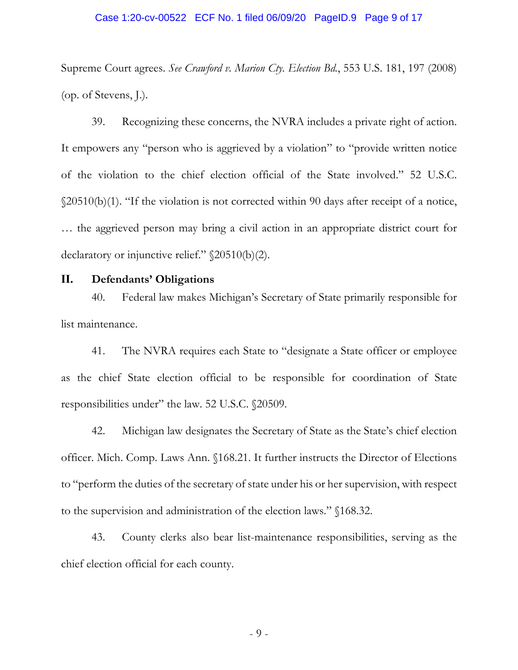#### Case 1:20-cv-00522 ECF No. 1 filed 06/09/20 PageID.9 Page 9 of 17

Supreme Court agrees. *See Crawford v. Marion Cty. Election Bd.*, 553 U.S. 181, 197 (2008) (op. of Stevens, J.).

39. Recognizing these concerns, the NVRA includes a private right of action. It empowers any "person who is aggrieved by a violation" to "provide written notice of the violation to the chief election official of the State involved." 52 U.S.C. §20510(b)(1). "If the violation is not corrected within 90 days after receipt of a notice, … the aggrieved person may bring a civil action in an appropriate district court for declaratory or injunctive relief." §20510(b)(2).

### **II. Defendants' Obligations**

40. Federal law makes Michigan's Secretary of State primarily responsible for list maintenance.

41. The NVRA requires each State to "designate a State officer or employee as the chief State election official to be responsible for coordination of State responsibilities under" the law. 52 U.S.C. §20509.

42. Michigan law designates the Secretary of State as the State's chief election officer. Mich. Comp. Laws Ann. §168.21. It further instructs the Director of Elections to "perform the duties of the secretary of state under his or her supervision, with respect to the supervision and administration of the election laws." §168.32.

43. County clerks also bear list-maintenance responsibilities, serving as the chief election official for each county.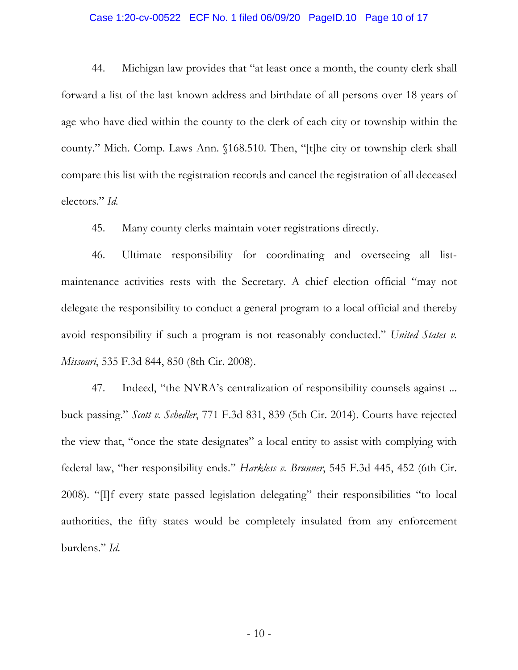#### Case 1:20-cv-00522 ECF No. 1 filed 06/09/20 PageID.10 Page 10 of 17

44. Michigan law provides that "at least once a month, the county clerk shall forward a list of the last known address and birthdate of all persons over 18 years of age who have died within the county to the clerk of each city or township within the county." Mich. Comp. Laws Ann. §168.510. Then, "[t]he city or township clerk shall compare this list with the registration records and cancel the registration of all deceased electors." *Id.*

45. Many county clerks maintain voter registrations directly.

46. Ultimate responsibility for coordinating and overseeing all listmaintenance activities rests with the Secretary. A chief election official "may not delegate the responsibility to conduct a general program to a local official and thereby avoid responsibility if such a program is not reasonably conducted." *United States v. Missouri*, 535 F.3d 844, 850 (8th Cir. 2008).

47. Indeed, "the NVRA's centralization of responsibility counsels against ... buck passing." *Scott v. Schedler*, 771 F.3d 831, 839 (5th Cir. 2014). Courts have rejected the view that, "once the state designates" a local entity to assist with complying with federal law, "her responsibility ends." *Harkless v. Brunner*, 545 F.3d 445, 452 (6th Cir. 2008). "[I]f every state passed legislation delegating" their responsibilities "to local authorities, the fifty states would be completely insulated from any enforcement burdens." *Id*.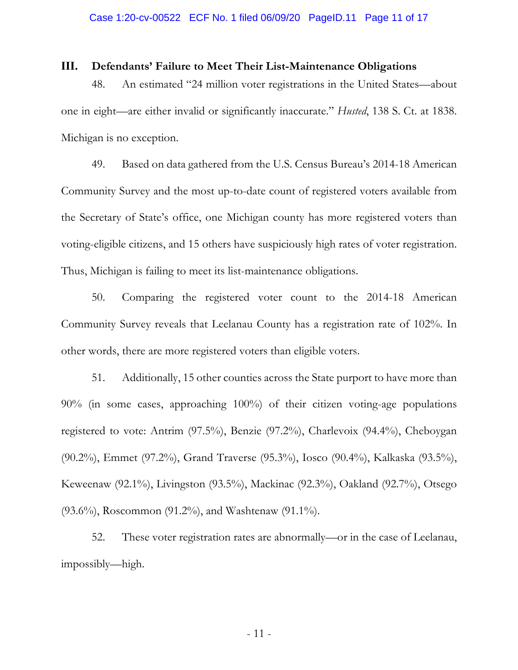### **III. Defendants' Failure to Meet Their List-Maintenance Obligations**

48. An estimated "24 million voter registrations in the United States—about one in eight—are either invalid or significantly inaccurate." *Husted*, 138 S. Ct. at 1838. Michigan is no exception.

49. Based on data gathered from the U.S. Census Bureau's 2014-18 American Community Survey and the most up-to-date count of registered voters available from the Secretary of State's office, one Michigan county has more registered voters than voting-eligible citizens, and 15 others have suspiciously high rates of voter registration. Thus, Michigan is failing to meet its list-maintenance obligations.

50. Comparing the registered voter count to the 2014-18 American Community Survey reveals that Leelanau County has a registration rate of 102%. In other words, there are more registered voters than eligible voters.

51. Additionally, 15 other counties across the State purport to have more than 90% (in some cases, approaching 100%) of their citizen voting-age populations registered to vote: Antrim (97.5%), Benzie (97.2%), Charlevoix (94.4%), Cheboygan (90.2%), Emmet (97.2%), Grand Traverse (95.3%), Iosco (90.4%), Kalkaska (93.5%), Keweenaw (92.1%), Livingston (93.5%), Mackinac (92.3%), Oakland (92.7%), Otsego (93.6%), Roscommon (91.2%), and Washtenaw (91.1%).

52. These voter registration rates are abnormally—or in the case of Leelanau, impossibly—high.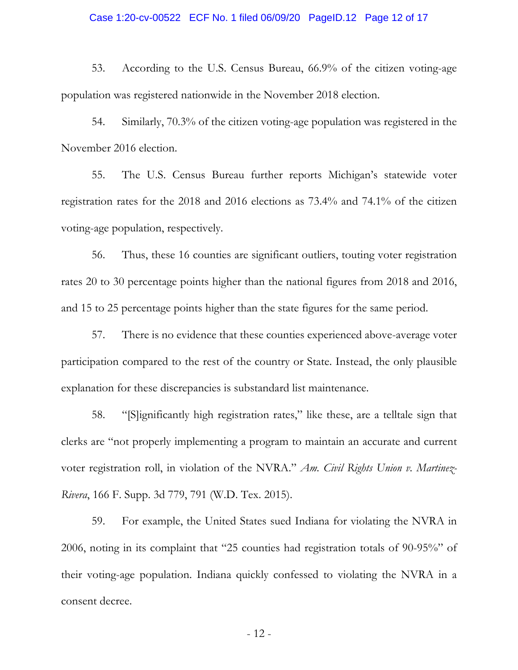#### Case 1:20-cv-00522 ECF No. 1 filed 06/09/20 PageID.12 Page 12 of 17

53. According to the U.S. Census Bureau, 66.9% of the citizen voting-age population was registered nationwide in the November 2018 election.

54. Similarly, 70.3% of the citizen voting-age population was registered in the November 2016 election.

55. The U.S. Census Bureau further reports Michigan's statewide voter registration rates for the 2018 and 2016 elections as 73.4% and 74.1% of the citizen voting-age population, respectively.

56. Thus, these 16 counties are significant outliers, touting voter registration rates 20 to 30 percentage points higher than the national figures from 2018 and 2016, and 15 to 25 percentage points higher than the state figures for the same period.

57. There is no evidence that these counties experienced above-average voter participation compared to the rest of the country or State. Instead, the only plausible explanation for these discrepancies is substandard list maintenance.

58. "[S]ignificantly high registration rates," like these, are a telltale sign that clerks are "not properly implementing a program to maintain an accurate and current voter registration roll, in violation of the NVRA." *Am. Civil Rights Union v. Martinez-Rivera*, 166 F. Supp. 3d 779, 791 (W.D. Tex. 2015).

59. For example, the United States sued Indiana for violating the NVRA in 2006, noting in its complaint that "25 counties had registration totals of 90-95%" of their voting-age population. Indiana quickly confessed to violating the NVRA in a consent decree.

- 12 -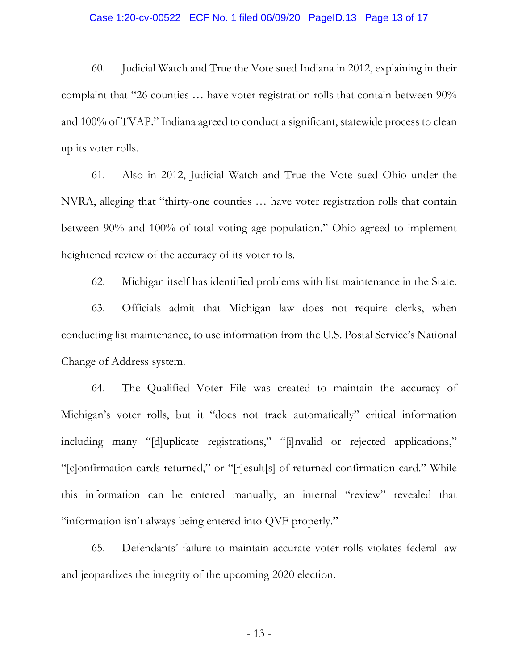#### Case 1:20-cv-00522 ECF No. 1 filed 06/09/20 PageID.13 Page 13 of 17

60. Judicial Watch and True the Vote sued Indiana in 2012, explaining in their complaint that "26 counties … have voter registration rolls that contain between 90% and 100% of TVAP." Indiana agreed to conduct a significant, statewide process to clean up its voter rolls.

61. Also in 2012, Judicial Watch and True the Vote sued Ohio under the NVRA, alleging that "thirty-one counties … have voter registration rolls that contain between 90% and 100% of total voting age population." Ohio agreed to implement heightened review of the accuracy of its voter rolls.

62. Michigan itself has identified problems with list maintenance in the State.

63. Officials admit that Michigan law does not require clerks, when conducting list maintenance, to use information from the U.S. Postal Service's National Change of Address system.

64. The Qualified Voter File was created to maintain the accuracy of Michigan's voter rolls, but it "does not track automatically" critical information including many "[d]uplicate registrations," "[i]nvalid or rejected applications," "[c]onfirmation cards returned," or "[r]esult[s] of returned confirmation card." While this information can be entered manually, an internal "review" revealed that "information isn't always being entered into QVF properly."

65. Defendants' failure to maintain accurate voter rolls violates federal law and jeopardizes the integrity of the upcoming 2020 election.

- 13 -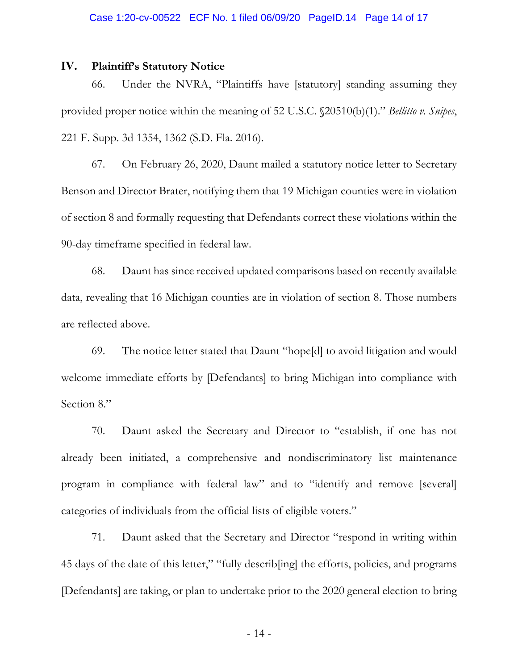### **IV. Plaintiff's Statutory Notice**

66. Under the NVRA, "Plaintiffs have [statutory] standing assuming they provided proper notice within the meaning of 52 U.S.C. §20510(b)(1)." *Bellitto v. Snipes*, 221 F. Supp. 3d 1354, 1362 (S.D. Fla. 2016).

67. On February 26, 2020, Daunt mailed a statutory notice letter to Secretary Benson and Director Brater, notifying them that 19 Michigan counties were in violation of section 8 and formally requesting that Defendants correct these violations within the 90-day timeframe specified in federal law.

68. Daunt has since received updated comparisons based on recently available data, revealing that 16 Michigan counties are in violation of section 8. Those numbers are reflected above.

69. The notice letter stated that Daunt "hope[d] to avoid litigation and would welcome immediate efforts by [Defendants] to bring Michigan into compliance with Section 8."

70. Daunt asked the Secretary and Director to "establish, if one has not already been initiated, a comprehensive and nondiscriminatory list maintenance program in compliance with federal law" and to "identify and remove [several] categories of individuals from the official lists of eligible voters."

71. Daunt asked that the Secretary and Director "respond in writing within 45 days of the date of this letter," "fully describ[ing] the efforts, policies, and programs [Defendants] are taking, or plan to undertake prior to the 2020 general election to bring

- 14 -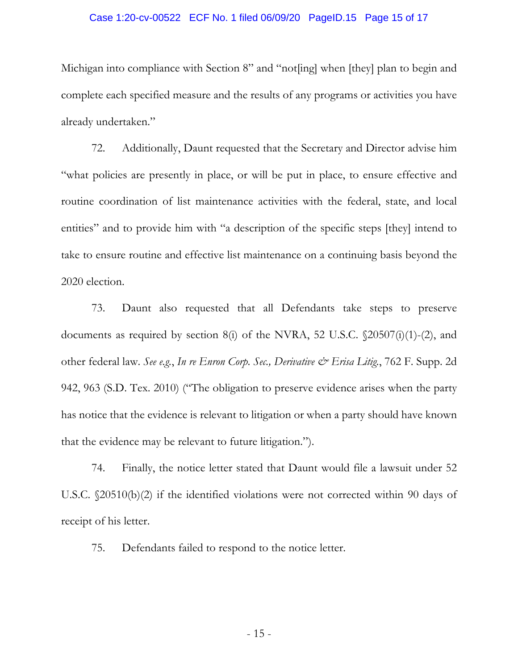#### Case 1:20-cv-00522 ECF No. 1 filed 06/09/20 PageID.15 Page 15 of 17

Michigan into compliance with Section 8" and "not[ing] when [they] plan to begin and complete each specified measure and the results of any programs or activities you have already undertaken."

72. Additionally, Daunt requested that the Secretary and Director advise him "what policies are presently in place, or will be put in place, to ensure effective and routine coordination of list maintenance activities with the federal, state, and local entities" and to provide him with "a description of the specific steps [they] intend to take to ensure routine and effective list maintenance on a continuing basis beyond the 2020 election.

73. Daunt also requested that all Defendants take steps to preserve documents as required by section 8(i) of the NVRA, 52 U.S.C. §20507(i)(1)-(2), and other federal law. *See e.g.*, *In re Enron Corp. Sec., Derivative & Erisa Litig.*, 762 F. Supp. 2d 942, 963 (S.D. Tex. 2010) ("The obligation to preserve evidence arises when the party has notice that the evidence is relevant to litigation or when a party should have known that the evidence may be relevant to future litigation.").

74. Finally, the notice letter stated that Daunt would file a lawsuit under 52 U.S.C. §20510(b)(2) if the identified violations were not corrected within 90 days of receipt of his letter.

75. Defendants failed to respond to the notice letter.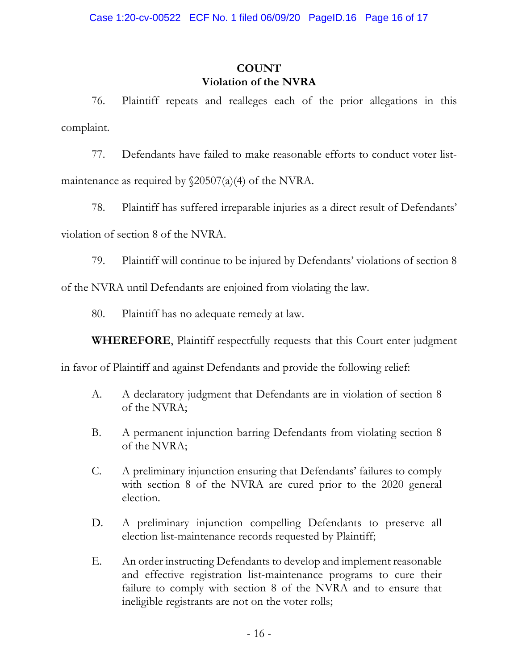# **COUNT Violation of the NVRA**

76. Plaintiff repeats and realleges each of the prior allegations in this complaint.

77. Defendants have failed to make reasonable efforts to conduct voter listmaintenance as required by §20507(a)(4) of the NVRA.

78. Plaintiff has suffered irreparable injuries as a direct result of Defendants' violation of section 8 of the NVRA.

79. Plaintiff will continue to be injured by Defendants' violations of section 8 of the NVRA until Defendants are enjoined from violating the law.

80. Plaintiff has no adequate remedy at law.

**WHEREFORE**, Plaintiff respectfully requests that this Court enter judgment

in favor of Plaintiff and against Defendants and provide the following relief:

- A. A declaratory judgment that Defendants are in violation of section 8 of the NVRA;
- B. A permanent injunction barring Defendants from violating section 8 of the NVRA;
- C. A preliminary injunction ensuring that Defendants' failures to comply with section 8 of the NVRA are cured prior to the 2020 general election.
- D. A preliminary injunction compelling Defendants to preserve all election list-maintenance records requested by Plaintiff;
- E. An order instructing Defendants to develop and implement reasonable and effective registration list-maintenance programs to cure their failure to comply with section 8 of the NVRA and to ensure that ineligible registrants are not on the voter rolls;